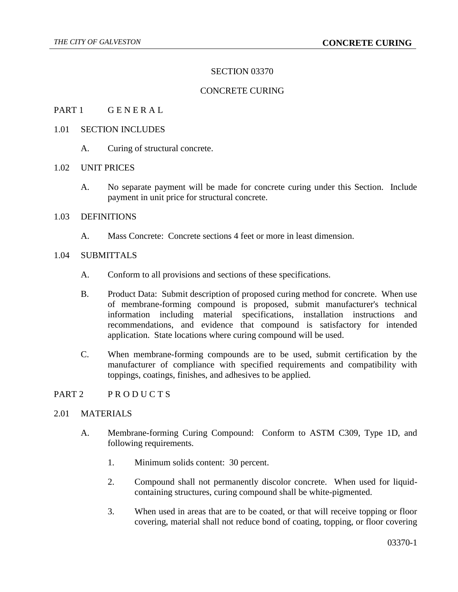## SECTION 03370

# CONCRETE CURING

#### PART 1 GENERAL

#### 1.01 SECTION INCLUDES

A. Curing of structural concrete.

#### 1.02 UNIT PRICES

A. No separate payment will be made for concrete curing under this Section. Include payment in unit price for structural concrete.

# 1.03 DEFINITIONS

A. Mass Concrete: Concrete sections 4 feet or more in least dimension.

## 1.04 SUBMITTALS

- A. Conform to all provisions and sections of these specifications.
- B. Product Data: Submit description of proposed curing method for concrete. When use of membrane-forming compound is proposed, submit manufacturer's technical information including material specifications, installation instructions and recommendations, and evidence that compound is satisfactory for intended application. State locations where curing compound will be used.
- C. When membrane-forming compounds are to be used, submit certification by the manufacturer of compliance with specified requirements and compatibility with toppings, coatings, finishes, and adhesives to be applied.

### PART 2 PRODUCTS

### 2.01 MATERIALS

- A. Membrane-forming Curing Compound: Conform to ASTM C309, Type 1D, and following requirements.
	- 1. Minimum solids content: 30 percent.
	- 2. Compound shall not permanently discolor concrete. When used for liquidcontaining structures, curing compound shall be white-pigmented.
	- 3. When used in areas that are to be coated, or that will receive topping or floor covering, material shall not reduce bond of coating, topping, or floor covering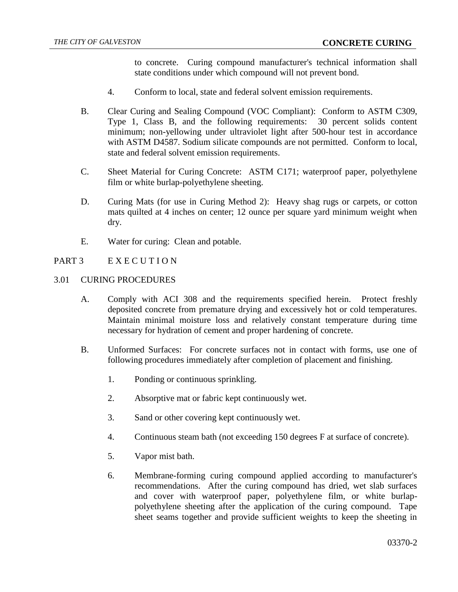to concrete. Curing compound manufacturer's technical information shall state conditions under which compound will not prevent bond.

- 4. Conform to local, state and federal solvent emission requirements.
- B. Clear Curing and Sealing Compound (VOC Compliant): Conform to ASTM C309, Type 1, Class B, and the following requirements: 30 percent solids content minimum; non-yellowing under ultraviolet light after 500-hour test in accordance with ASTM D4587. Sodium silicate compounds are not permitted. Conform to local, state and federal solvent emission requirements.
- C. Sheet Material for Curing Concrete: ASTM C171; waterproof paper, polyethylene film or white burlap-polyethylene sheeting.
- D. Curing Mats (for use in Curing Method 2): Heavy shag rugs or carpets, or cotton mats quilted at 4 inches on center; 12 ounce per square yard minimum weight when dry.
- E. Water for curing: Clean and potable.

# PART 3 EXECUTION

### 3.01 CURING PROCEDURES

- A. Comply with ACI 308 and the requirements specified herein. Protect freshly deposited concrete from premature drying and excessively hot or cold temperatures. Maintain minimal moisture loss and relatively constant temperature during time necessary for hydration of cement and proper hardening of concrete.
- B. Unformed Surfaces: For concrete surfaces not in contact with forms, use one of following procedures immediately after completion of placement and finishing.
	- 1. Ponding or continuous sprinkling.
	- 2. Absorptive mat or fabric kept continuously wet.
	- 3. Sand or other covering kept continuously wet.
	- 4. Continuous steam bath (not exceeding 150 degrees F at surface of concrete).
	- 5. Vapor mist bath.
	- 6. Membrane-forming curing compound applied according to manufacturer's recommendations. After the curing compound has dried, wet slab surfaces and cover with waterproof paper, polyethylene film, or white burlappolyethylene sheeting after the application of the curing compound. Tape sheet seams together and provide sufficient weights to keep the sheeting in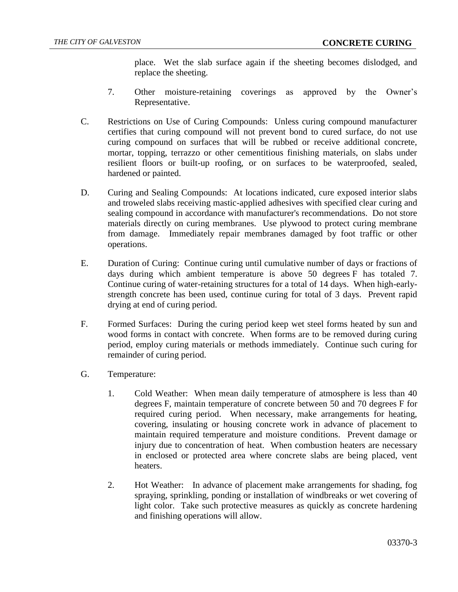place. Wet the slab surface again if the sheeting becomes dislodged, and replace the sheeting.

- 7. Other moisture-retaining coverings as approved by the Owner's Representative.
- C. Restrictions on Use of Curing Compounds: Unless curing compound manufacturer certifies that curing compound will not prevent bond to cured surface, do not use curing compound on surfaces that will be rubbed or receive additional concrete, mortar, topping, terrazzo or other cementitious finishing materials, on slabs under resilient floors or built-up roofing, or on surfaces to be waterproofed, sealed, hardened or painted.
- D. Curing and Sealing Compounds: At locations indicated, cure exposed interior slabs and troweled slabs receiving mastic-applied adhesives with specified clear curing and sealing compound in accordance with manufacturer's recommendations. Do not store materials directly on curing membranes. Use plywood to protect curing membrane from damage. Immediately repair membranes damaged by foot traffic or other operations.
- E. Duration of Curing: Continue curing until cumulative number of days or fractions of days during which ambient temperature is above 50 degrees F has totaled 7. Continue curing of water-retaining structures for a total of 14 days. When high-earlystrength concrete has been used, continue curing for total of 3 days. Prevent rapid drying at end of curing period.
- F. Formed Surfaces: During the curing period keep wet steel forms heated by sun and wood forms in contact with concrete. When forms are to be removed during curing period, employ curing materials or methods immediately. Continue such curing for remainder of curing period.
- G. Temperature:
	- 1. Cold Weather: When mean daily temperature of atmosphere is less than 40 degrees F, maintain temperature of concrete between 50 and 70 degrees F for required curing period. When necessary, make arrangements for heating, covering, insulating or housing concrete work in advance of placement to maintain required temperature and moisture conditions. Prevent damage or injury due to concentration of heat. When combustion heaters are necessary in enclosed or protected area where concrete slabs are being placed, vent heaters.
	- 2. Hot Weather: In advance of placement make arrangements for shading, fog spraying, sprinkling, ponding or installation of windbreaks or wet covering of light color. Take such protective measures as quickly as concrete hardening and finishing operations will allow.